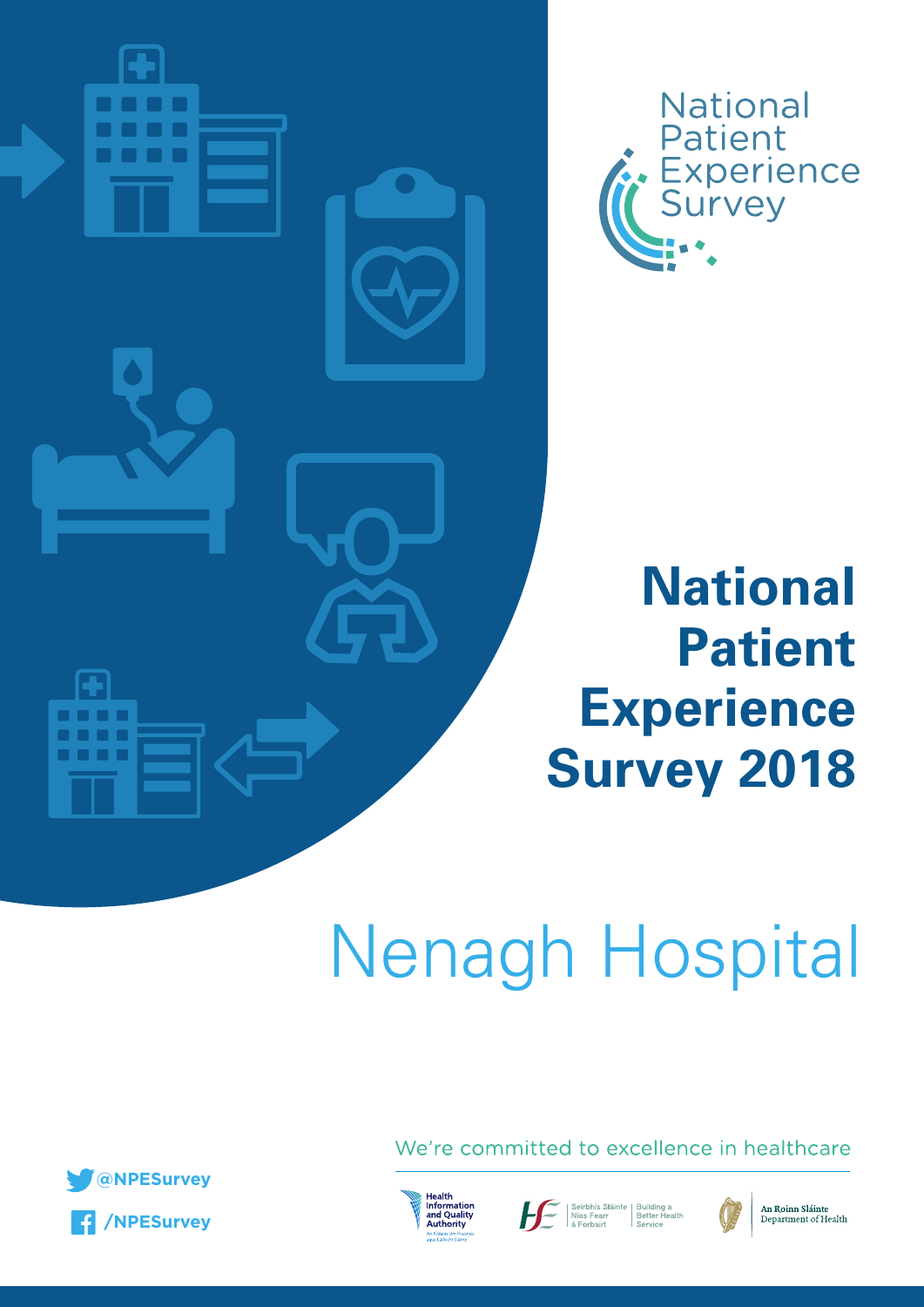



# **National Patient Experience Survey 2018**

# Nenagh Hospital



We're committed to excellence in healthcare



Seirbhís Sláinte | Building a<br>| Níos Fearr | Better Health<br>| Service | Service



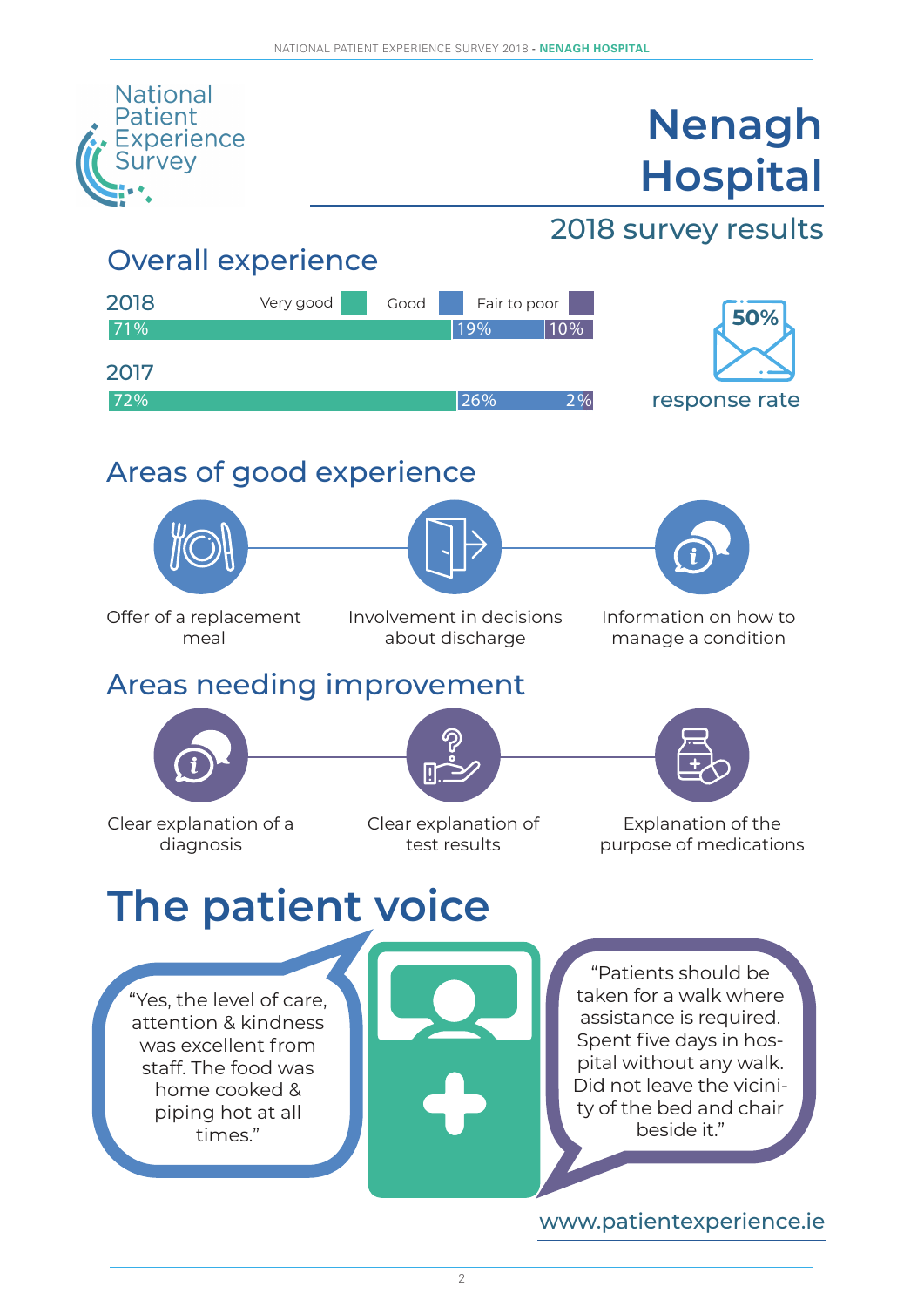

2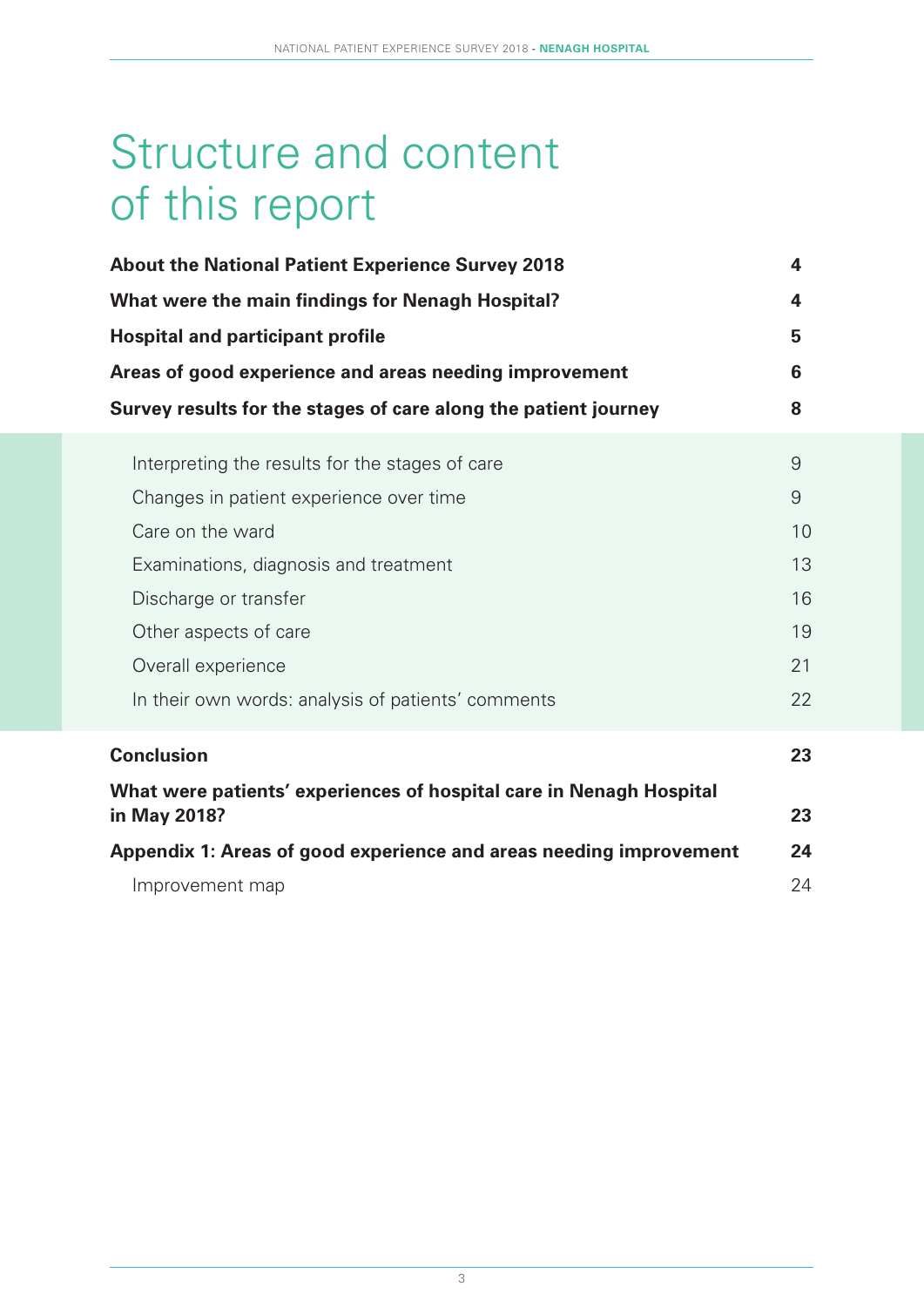# Structure and content of this report

| <b>About the National Patient Experience Survey 2018</b>            |                         |  |  |  |  |  |
|---------------------------------------------------------------------|-------------------------|--|--|--|--|--|
| What were the main findings for Nenagh Hospital?                    | $\overline{\mathbf{4}}$ |  |  |  |  |  |
| <b>Hospital and participant profile</b>                             | 5                       |  |  |  |  |  |
| Areas of good experience and areas needing improvement              | 6                       |  |  |  |  |  |
| Survey results for the stages of care along the patient journey     | 8                       |  |  |  |  |  |
| Interpreting the results for the stages of care                     | 9                       |  |  |  |  |  |
| Changes in patient experience over time                             | $\overline{9}$          |  |  |  |  |  |
| Care on the ward                                                    | 10                      |  |  |  |  |  |
| Examinations, diagnosis and treatment                               | 13                      |  |  |  |  |  |
| Discharge or transfer                                               | 16                      |  |  |  |  |  |
| Other aspects of care                                               | 19                      |  |  |  |  |  |
| Overall experience                                                  | 21                      |  |  |  |  |  |
| In their own words: analysis of patients' comments                  | 22                      |  |  |  |  |  |
| <b>Conclusion</b>                                                   | 23                      |  |  |  |  |  |
| What were patients' experiences of hospital care in Nenagh Hospital |                         |  |  |  |  |  |
| in May 2018?                                                        | 23                      |  |  |  |  |  |
| Appendix 1: Areas of good experience and areas needing improvement  | 24                      |  |  |  |  |  |
| Improvement map                                                     | 24                      |  |  |  |  |  |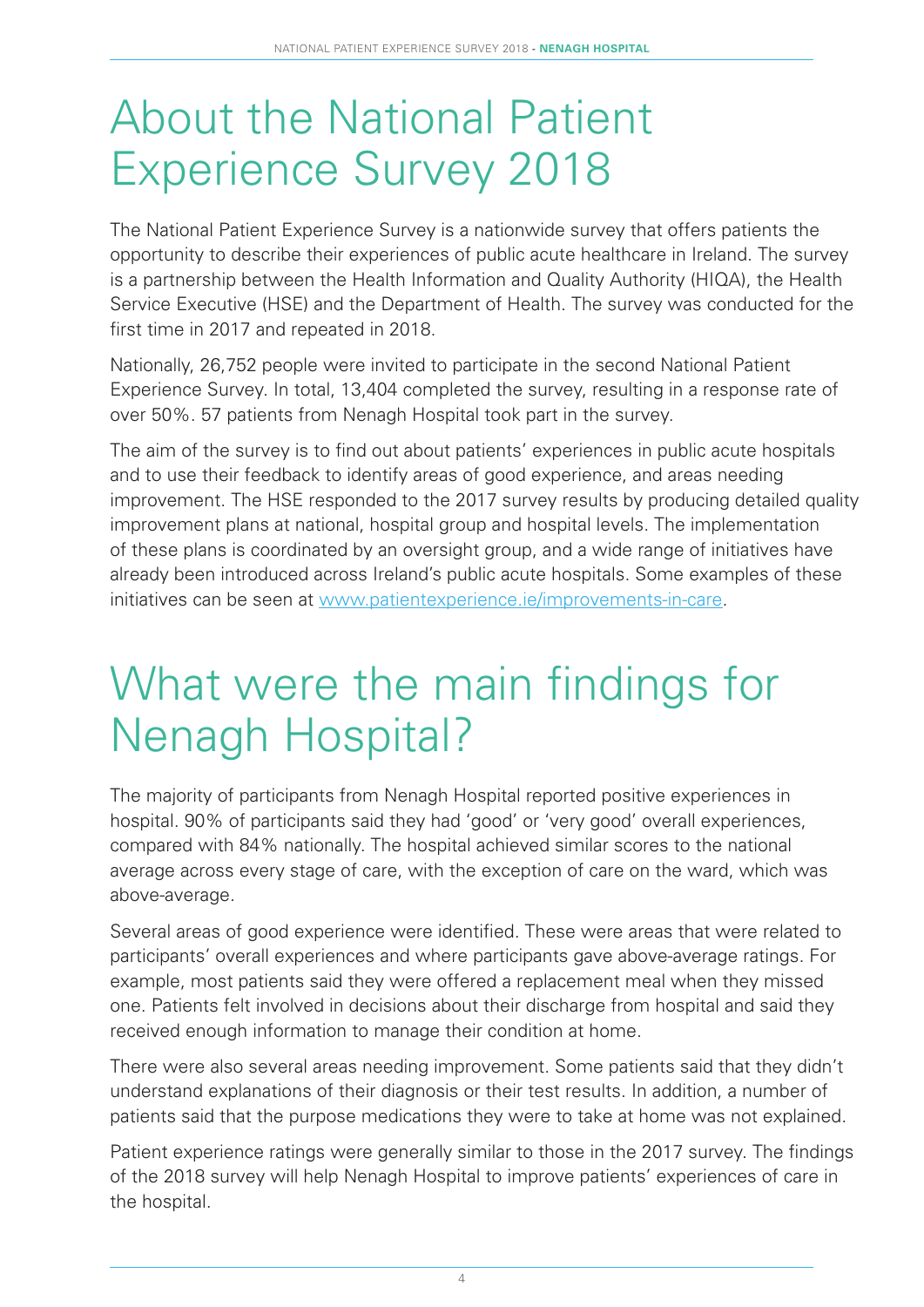# About the National Patient Experience Survey 2018

The National Patient Experience Survey is a nationwide survey that offers patients the opportunity to describe their experiences of public acute healthcare in Ireland. The survey is a partnership between the Health Information and Quality Authority (HIQA), the Health Service Executive (HSE) and the Department of Health. The survey was conducted for the first time in 2017 and repeated in 2018.

Nationally, 26,752 people were invited to participate in the second National Patient Experience Survey. In total, 13,404 completed the survey, resulting in a response rate of over 50%. 57 patients from Nenagh Hospital took part in the survey.

The aim of the survey is to find out about patients' experiences in public acute hospitals and to use their feedback to identify areas of good experience, and areas needing improvement. The HSE responded to the 2017 survey results by producing detailed quality improvement plans at national, hospital group and hospital levels. The implementation of these plans is coordinated by an oversight group, and a wide range of initiatives have already been introduced across Ireland's public acute hospitals. Some examples of these initiatives can be seen at www.patientexperience.ie/improvements-in-care.

# What were the main findings for Nenagh Hospital?

The majority of participants from Nenagh Hospital reported positive experiences in hospital. 90% of participants said they had 'good' or 'very good' overall experiences, compared with 84% nationally. The hospital achieved similar scores to the national average across every stage of care, with the exception of care on the ward, which was above-average.

Several areas of good experience were identified. These were areas that were related to participants' overall experiences and where participants gave above-average ratings. For example, most patients said they were offered a replacement meal when they missed one. Patients felt involved in decisions about their discharge from hospital and said they received enough information to manage their condition at home.

There were also several areas needing improvement. Some patients said that they didn't understand explanations of their diagnosis or their test results. In addition, a number of patients said that the purpose medications they were to take at home was not explained.

Patient experience ratings were generally similar to those in the 2017 survey. The findings of the 2018 survey will help Nenagh Hospital to improve patients' experiences of care in the hospital.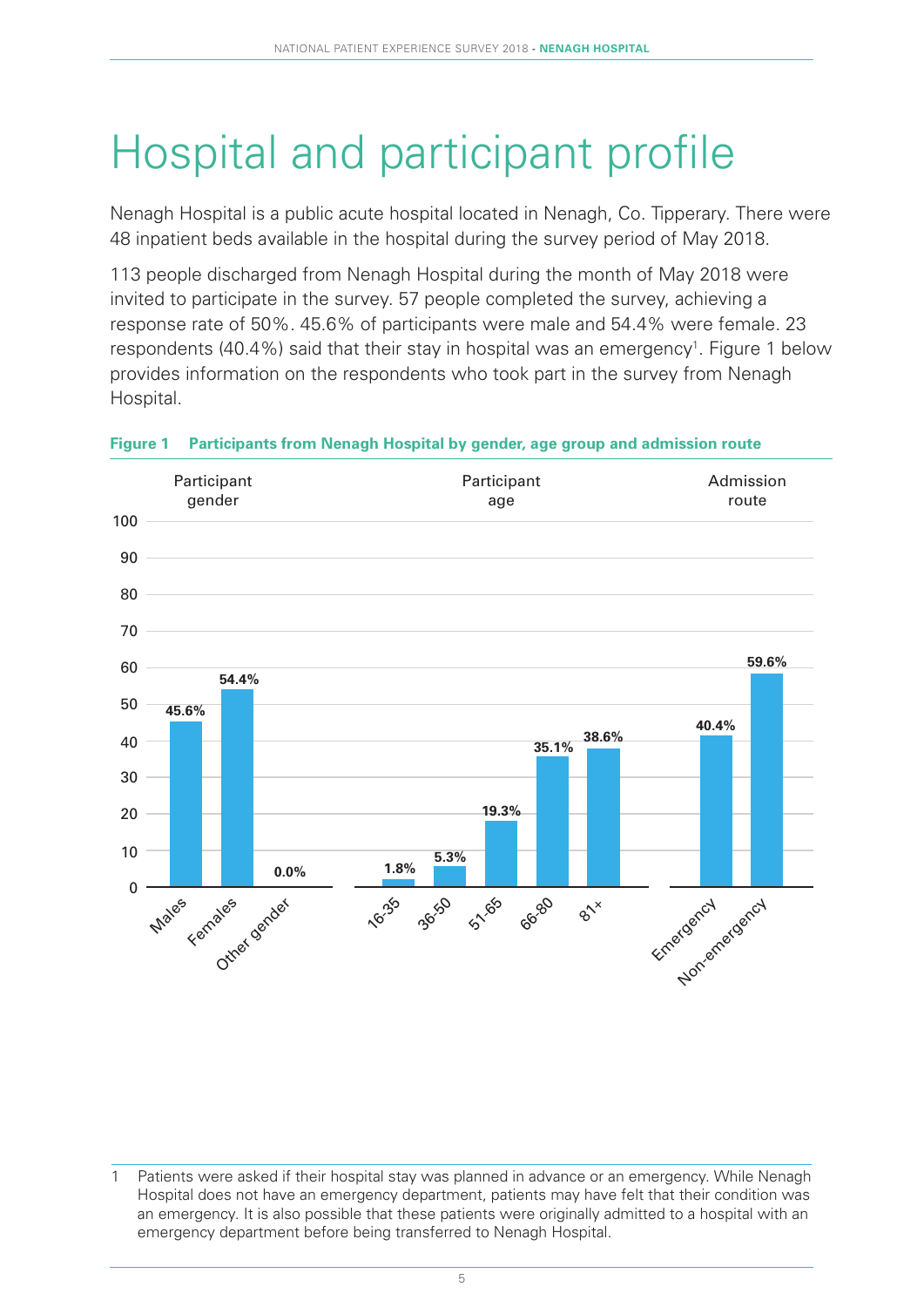# Hospital and participant profile

Nenagh Hospital is a public acute hospital located in Nenagh, Co. Tipperary. There were 48 inpatient beds available in the hospital during the survey period of May 2018.

113 people discharged from Nenagh Hospital during the month of May 2018 were invited to participate in the survey. 57 people completed the survey, achieving a response rate of 50%. 45.6% of participants were male and 54.4% were female. 23 respondents (40.4%) said that their stay in hospital was an emergency<sup>1</sup>. Figure 1 below provides information on the respondents who took part in the survey from Nenagh Hospital.



#### **Figure 1 Participants from Nenagh Hospital by gender, age group and admission route**

Patients were asked if their hospital stay was planned in advance or an emergency. While Nenagh Hospital does not have an emergency department, patients may have felt that their condition was an emergency. It is also possible that these patients were originally admitted to a hospital with an emergency department before being transferred to Nenagh Hospital.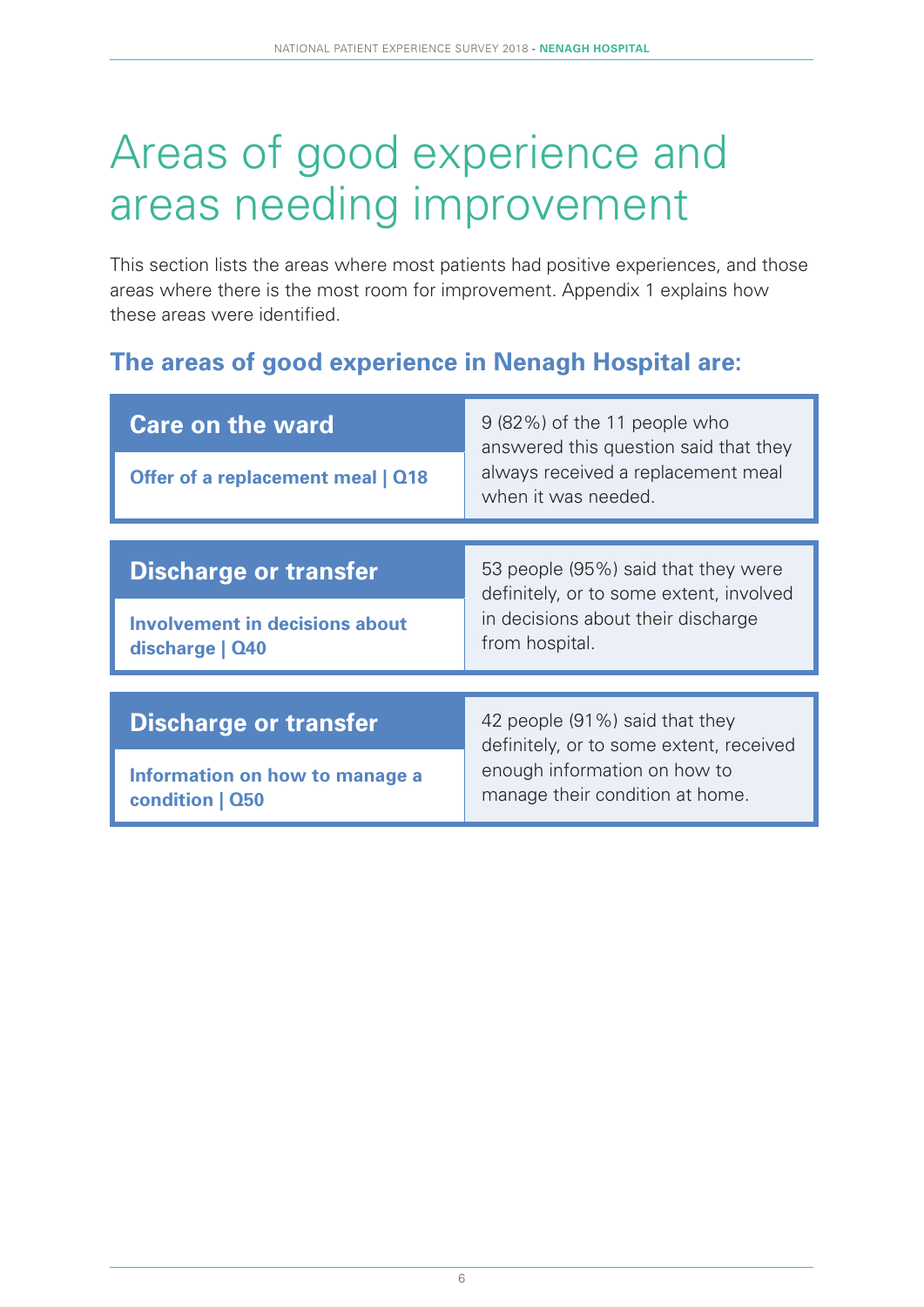# Areas of good experience and areas needing improvement

This section lists the areas where most patients had positive experiences, and those areas where there is the most room for improvement. Appendix 1 explains how these areas were identified.

### **The areas of good experience in Nenagh Hospital are:**

| <b>Care on the ward</b>                                  | 9 (82%) of the 11 people who<br>answered this question said that they          |  |  |  |  |  |
|----------------------------------------------------------|--------------------------------------------------------------------------------|--|--|--|--|--|
| Offer of a replacement meal   Q18                        | always received a replacement meal<br>when it was needed.                      |  |  |  |  |  |
|                                                          |                                                                                |  |  |  |  |  |
| <b>Discharge or transfer</b>                             | 53 people (95%) said that they were<br>definitely, or to some extent, involved |  |  |  |  |  |
| <b>Involvement in decisions about</b><br>discharge   Q40 | in decisions about their discharge<br>from hospital.                           |  |  |  |  |  |
|                                                          |                                                                                |  |  |  |  |  |
| <b>Discharge or transfer</b>                             | 42 people (91%) said that they<br>definitely, or to some extent, received      |  |  |  |  |  |
| Information on how to manage a<br>condition   Q50        | enough information on how to<br>manage their condition at home.                |  |  |  |  |  |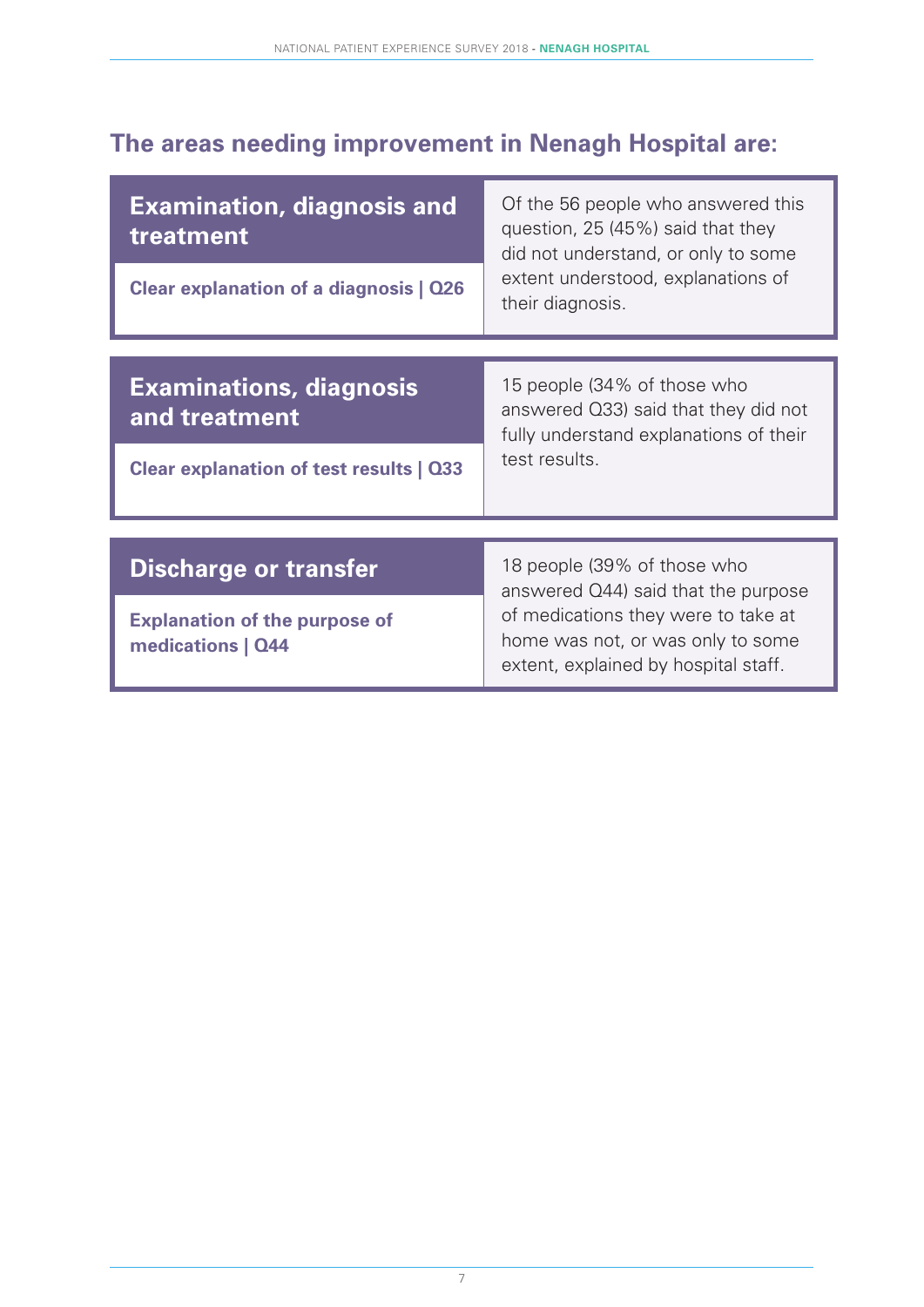### **The areas needing improvement in Nenagh Hospital are:**

| <b>Examination, diagnosis and</b><br>treatment                                             | Of the 56 people who answered this<br>question, 25 (45%) said that they<br>did not understand, or only to some                 |  |  |  |  |  |  |
|--------------------------------------------------------------------------------------------|--------------------------------------------------------------------------------------------------------------------------------|--|--|--|--|--|--|
| Clear explanation of a diagnosis   Q26                                                     | extent understood, explanations of<br>their diagnosis.                                                                         |  |  |  |  |  |  |
| <b>Examinations, diagnosis</b><br>and treatment<br>Clear explanation of test results   Q33 | 15 people (34% of those who<br>answered Q33) said that they did not<br>fully understand explanations of their<br>test results. |  |  |  |  |  |  |
|                                                                                            |                                                                                                                                |  |  |  |  |  |  |
| <b>Discharge or transfer</b>                                                               | 18 people (39% of those who<br>answered Q44) said that the purpose                                                             |  |  |  |  |  |  |
| <b>Explanation of the purpose of</b><br>medications   Q44                                  | of medications they were to take at<br>home was not, or was only to some<br>extent, explained by hospital staff.               |  |  |  |  |  |  |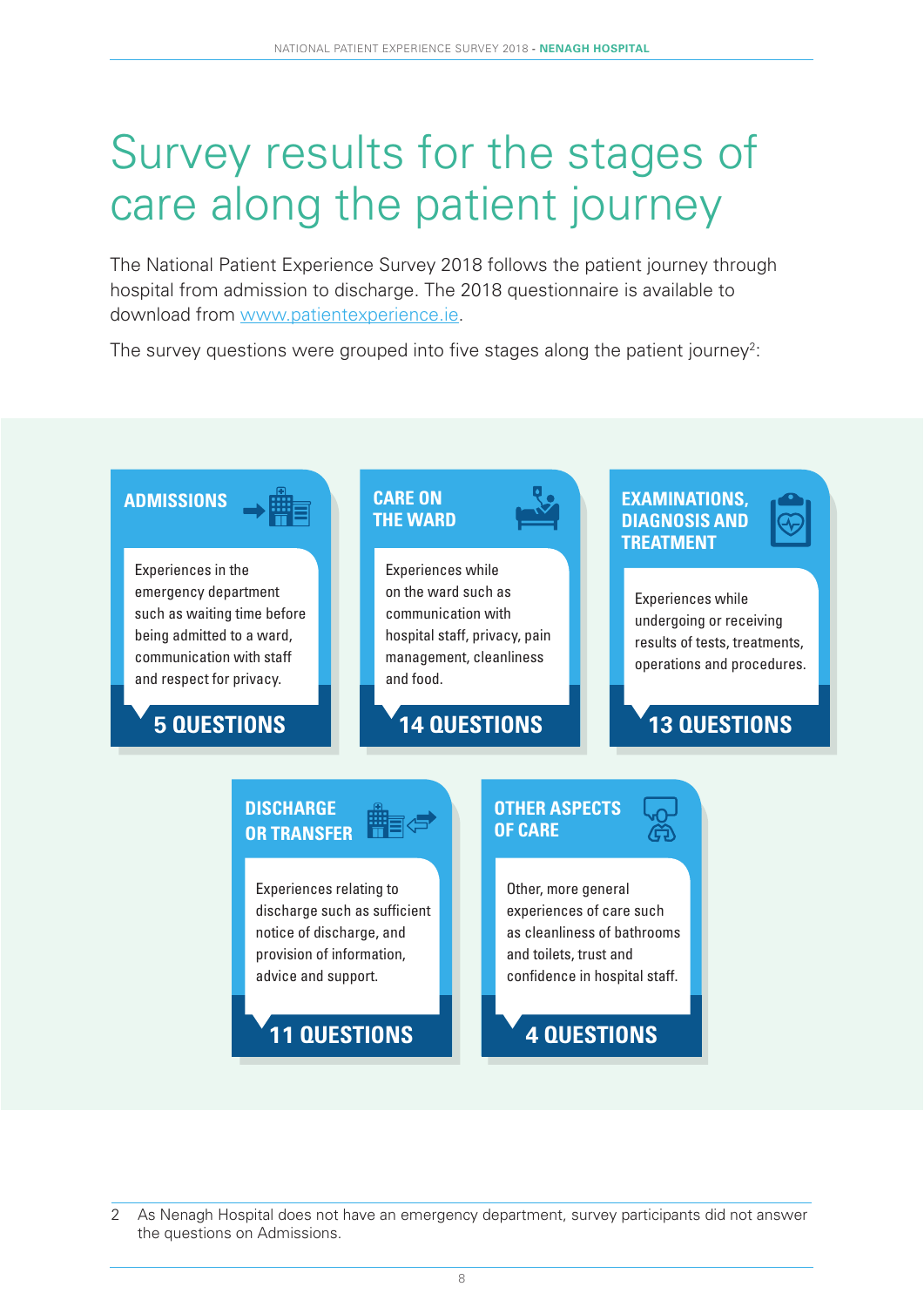# Survey results for the stages of care along the patient journey

The National Patient Experience Survey 2018 follows the patient journey through hospital from admission to discharge. The 2018 questionnaire is available to download from www.patientexperience.ie.

The survey questions were grouped into five stages along the patient journey<sup>2</sup>:



<sup>2</sup> As Nenagh Hospital does not have an emergency department, survey participants did not answer the questions on Admissions.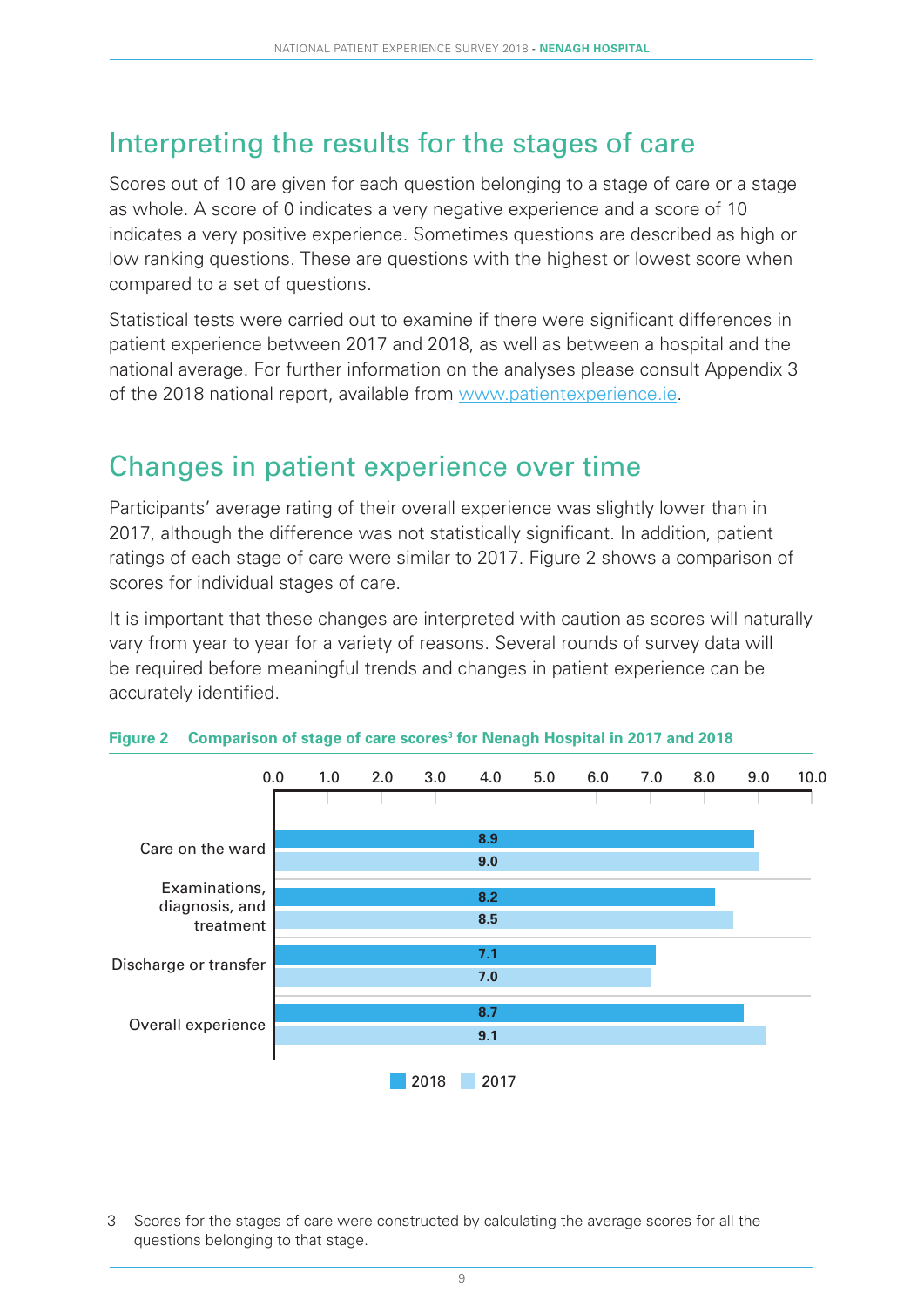### Interpreting the results for the stages of care

Scores out of 10 are given for each question belonging to a stage of care or a stage as whole. A score of 0 indicates a very negative experience and a score of 10 indicates a very positive experience. Sometimes questions are described as high or low ranking questions. These are questions with the highest or lowest score when compared to a set of questions.

Statistical tests were carried out to examine if there were significant differences in patient experience between 2017 and 2018, as well as between a hospital and the national average. For further information on the analyses please consult Appendix 3 of the 2018 national report, available from www.patientexperience.ie.

### Changes in patient experience over time

Participants' average rating of their overall experience was slightly lower than in 2017, although the difference was not statistically significant. In addition, patient ratings of each stage of care were similar to 2017. Figure 2 shows a comparison of scores for individual stages of care.

It is important that these changes are interpreted with caution as scores will naturally vary from year to year for a variety of reasons. Several rounds of survey data will be required before meaningful trends and changes in patient experience can be accurately identified.



|  |  |  | Figure 2 Comparison of stage of care scores <sup>3</sup> for Nenagh Hospital in 2017 and 2018 |
|--|--|--|-----------------------------------------------------------------------------------------------|
|  |  |  |                                                                                               |

<sup>3</sup> Scores for the stages of care were constructed by calculating the average scores for all the questions belonging to that stage.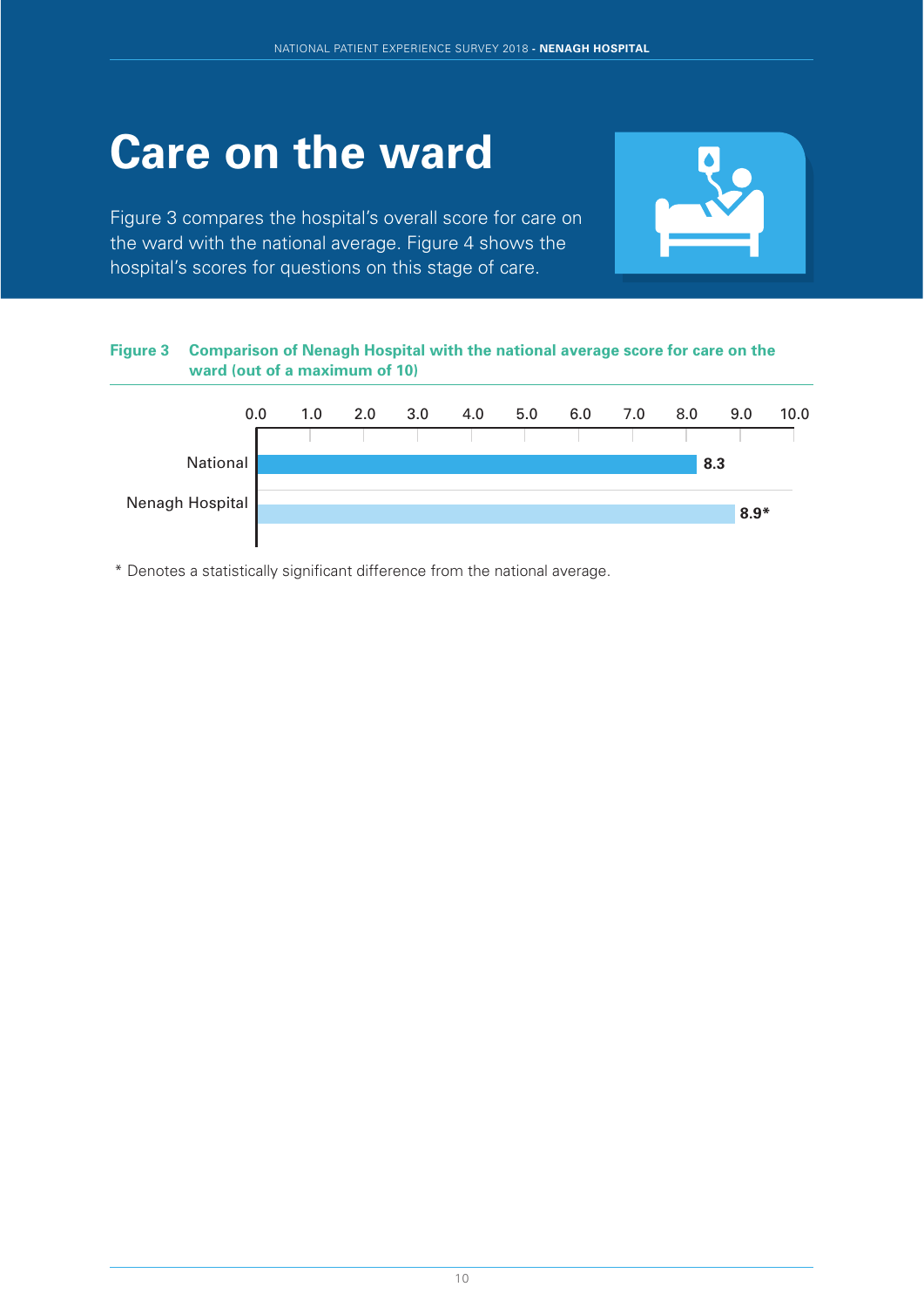# **Care on the ward**

Figure 3 compares the hospital's overall score for care on the ward with the national average. Figure 4 shows the hospital's scores for questions on this stage of care.



#### **Figure 3 Comparison of Nenagh Hospital with the national average score for care on the ward (out of a maximum of 10)**



\* Denotes a statistically significant difference from the national average.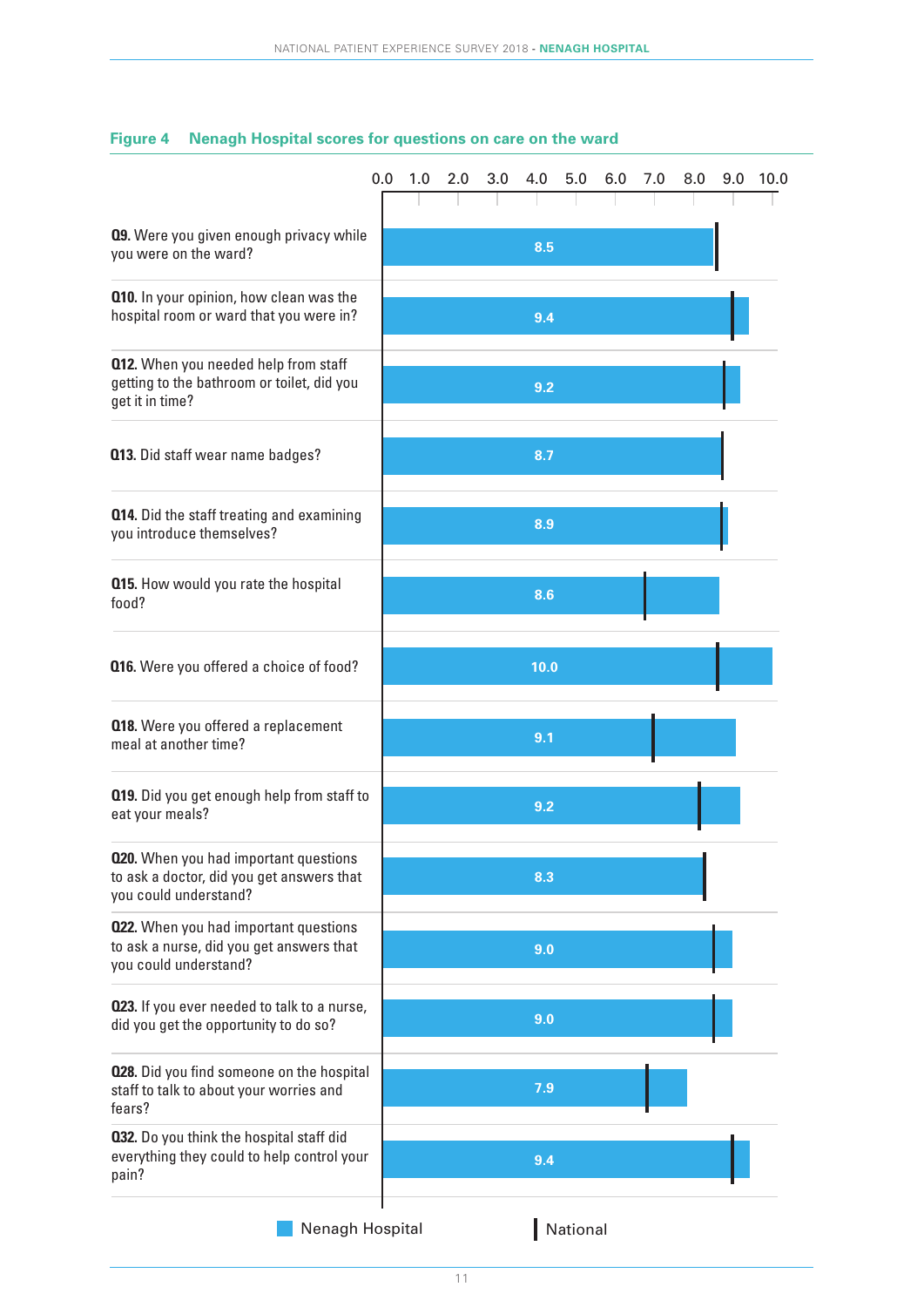|                                                                                                                    | 0.0 | 1.0 | 2.0 | 3.0 | 4.0  | 5.0      | 6.0 | 7.0 | 8.0 | 9.0 | 10.0 |
|--------------------------------------------------------------------------------------------------------------------|-----|-----|-----|-----|------|----------|-----|-----|-----|-----|------|
|                                                                                                                    |     |     |     |     |      |          |     |     |     |     |      |
| <b>09.</b> Were you given enough privacy while<br>you were on the ward?                                            |     |     |     |     | 8.5  |          |     |     |     |     |      |
| <b>Q10.</b> In your opinion, how clean was the<br>hospital room or ward that you were in?                          |     |     |     |     | 9.4  |          |     |     |     |     |      |
| <b>Q12.</b> When you needed help from staff<br>getting to the bathroom or toilet, did you<br>get it in time?       |     |     |     |     | 9.2  |          |     |     |     |     |      |
| <b>013.</b> Did staff wear name badges?                                                                            |     |     |     |     | 8.7  |          |     |     |     |     |      |
| <b>Q14.</b> Did the staff treating and examining<br>you introduce themselves?                                      |     |     |     |     | 8.9  |          |     |     |     |     |      |
| <b>Q15.</b> How would you rate the hospital<br>food?                                                               |     |     |     |     | 8.6  |          |     |     |     |     |      |
| <b>Q16.</b> Were you offered a choice of food?                                                                     |     |     |     |     | 10.0 |          |     |     |     |     |      |
| <b>018.</b> Were you offered a replacement<br>meal at another time?                                                |     |     |     |     | 9.1  |          |     |     |     |     |      |
| <b>Q19.</b> Did you get enough help from staff to<br>eat your meals?                                               |     |     |     |     | 9.2  |          |     |     |     |     |      |
| <b>020.</b> When you had important questions<br>to ask a doctor, did you get answers that<br>you could understand? |     |     |     |     | 8.3  |          |     |     |     |     |      |
| <b>022.</b> When you had important questions<br>to ask a nurse, did you get answers that<br>you could understand?  |     |     |     |     | 9.0  |          |     |     |     |     |      |
| 023. If you ever needed to talk to a nurse,<br>did you get the opportunity to do so?                               |     |     |     |     | 9.0  |          |     |     |     |     |      |
| <b>028.</b> Did you find someone on the hospital<br>staff to talk to about your worries and<br>fears?              |     |     |     |     | 7.9  |          |     |     |     |     |      |
| 032. Do you think the hospital staff did<br>everything they could to help control your<br>pain?                    |     |     |     |     | 9.4  |          |     |     |     |     |      |
| Nenagh Hospital                                                                                                    |     |     |     |     |      | National |     |     |     |     |      |

#### **Figure 4 Nenagh Hospital scores for questions on care on the ward**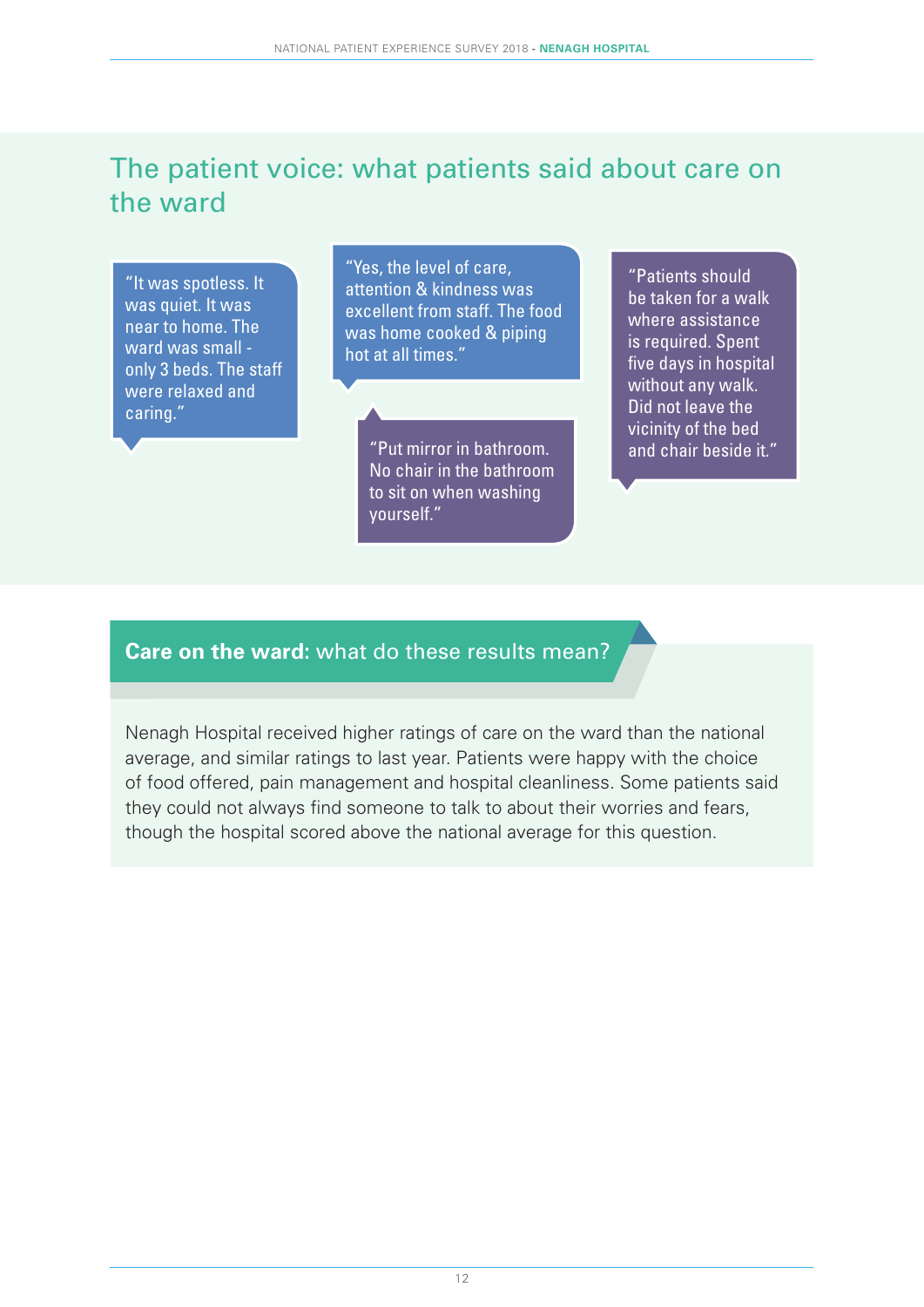### The patient voice: what patients said about care on the ward

"It was spotless. It was quiet. It was near to home. The ward was small only 3 beds. The staff were relaxed and caring."

"Yes, the level of care, attention & kindness was excellent from staff. The food was home cooked & piping hot at all times."

> "Put mirror in bathroom.  $\Box$  and chair beside it." No chair in the bathroom to sit on when washing yourself."

"Patients should be taken for a walk where assistance is required. Spent five days in hospital without any walk. Did not leave the vicinity of the bed

#### **Care on the ward:** what do these results mean?

Nenagh Hospital received higher ratings of care on the ward than the national average, and similar ratings to last year. Patients were happy with the choice of food offered, pain management and hospital cleanliness. Some patients said they could not always find someone to talk to about their worries and fears, though the hospital scored above the national average for this question.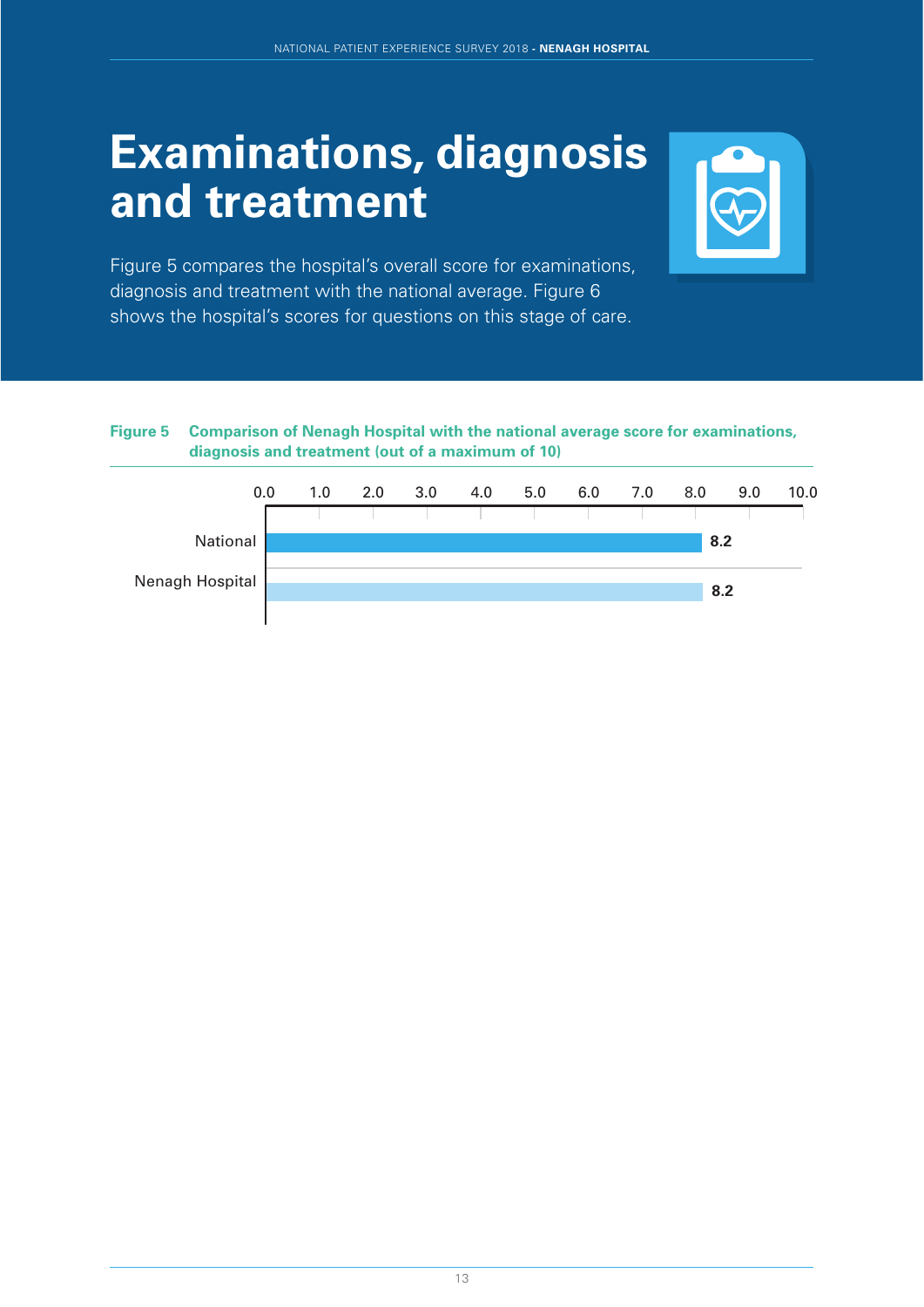### **Examinations, diagnosis and treatment**



Figure 5 compares the hospital's overall score for examinations, diagnosis and treatment with the national average. Figure 6 shows the hospital's scores for questions on this stage of care.

#### **Figure 5 Comparison of Nenagh Hospital with the national average score for examinations, diagnosis and treatment (out of a maximum of 10)**

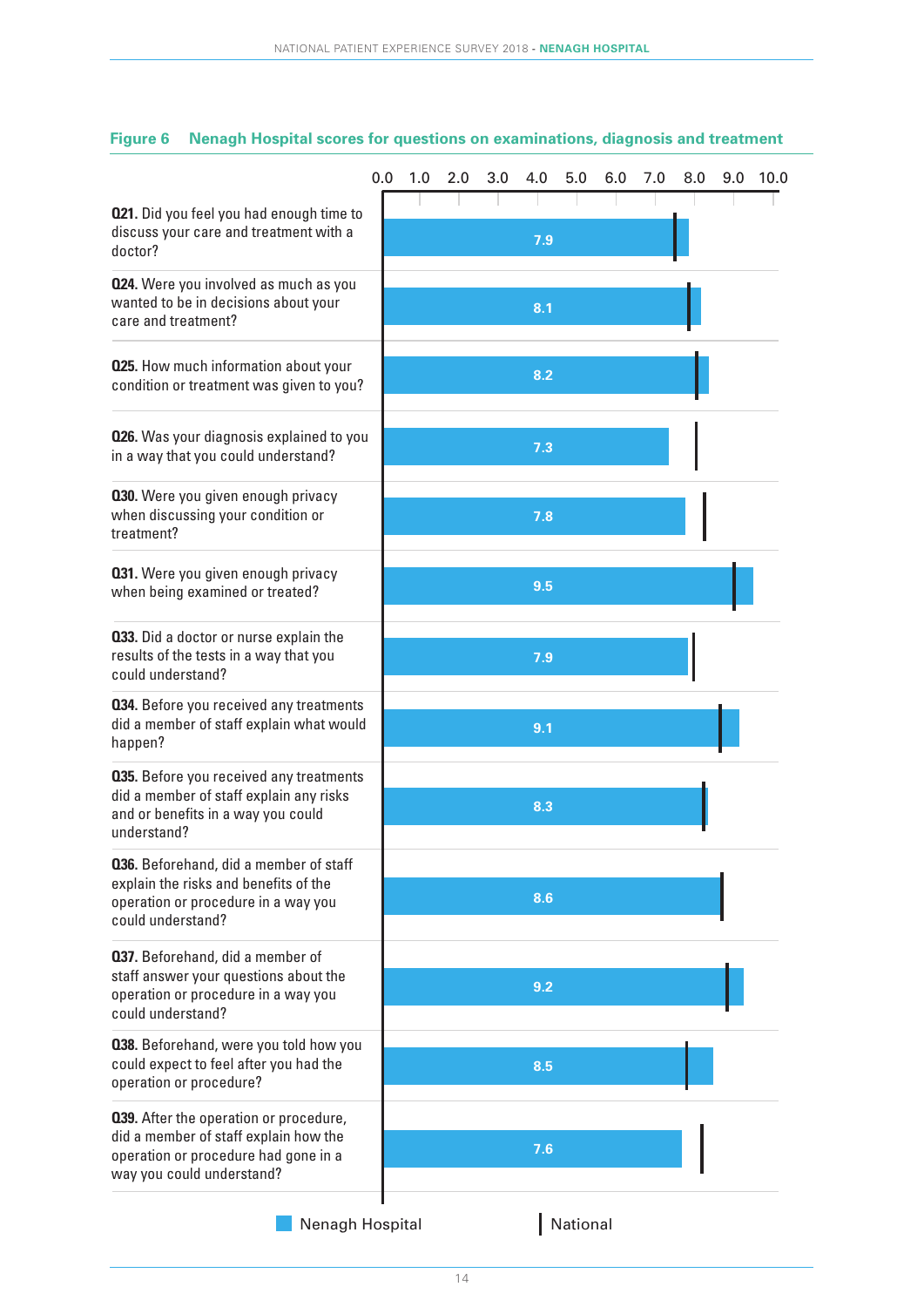|                                                                                                                                                      | 0.0 | 1.0 | 2.0 | 3.0 | 4.0 | 5.0      | 6.0 | 7.0 | 8.0 | 9.0 | 10.0 |
|------------------------------------------------------------------------------------------------------------------------------------------------------|-----|-----|-----|-----|-----|----------|-----|-----|-----|-----|------|
| 021. Did you feel you had enough time to<br>discuss your care and treatment with a<br>doctor?                                                        |     |     |     |     | 7.9 |          |     |     |     |     |      |
| 024. Were you involved as much as you<br>wanted to be in decisions about your<br>care and treatment?                                                 |     |     |     |     | 8.1 |          |     |     |     |     |      |
| <b>025.</b> How much information about your<br>condition or treatment was given to you?                                                              |     |     |     |     | 8.2 |          |     |     |     |     |      |
| <b>026.</b> Was your diagnosis explained to you<br>in a way that you could understand?                                                               |     |     |     |     | 7.3 |          |     |     |     |     |      |
| 030. Were you given enough privacy<br>when discussing your condition or<br>treatment?                                                                |     |     |     |     | 7.8 |          |     |     |     |     |      |
| 031. Were you given enough privacy<br>when being examined or treated?                                                                                |     |     |     |     | 9.5 |          |     |     |     |     |      |
| 033. Did a doctor or nurse explain the<br>results of the tests in a way that you<br>could understand?                                                |     |     |     |     | 7.9 |          |     |     |     |     |      |
| 034. Before you received any treatments<br>did a member of staff explain what would<br>happen?                                                       |     |     |     |     | 9.1 |          |     |     |     |     |      |
| <b>035.</b> Before you received any treatments<br>did a member of staff explain any risks<br>and or benefits in a way you could<br>understand?       |     |     |     |     | 8.3 |          |     |     |     |     |      |
| 036. Beforehand, did a member of staff<br>explain the risks and benefits of the<br>operation or procedure in a way you<br>could understand?          |     |     |     |     | 8.6 |          |     |     |     |     |      |
| <b>037.</b> Beforehand, did a member of<br>staff answer your questions about the<br>operation or procedure in a way you<br>could understand?         |     |     |     |     | 9.2 |          |     |     |     |     |      |
| 038. Beforehand, were you told how you<br>could expect to feel after you had the<br>operation or procedure?                                          |     |     |     |     | 8.5 |          |     |     |     |     |      |
| 039. After the operation or procedure,<br>did a member of staff explain how the<br>operation or procedure had gone in a<br>way you could understand? |     |     |     |     | 7.6 |          |     |     |     |     |      |
| Nenagh Hospital                                                                                                                                      |     |     |     |     |     | National |     |     |     |     |      |

#### **Figure 6 Nenagh Hospital scores for questions on examinations, diagnosis and treatment**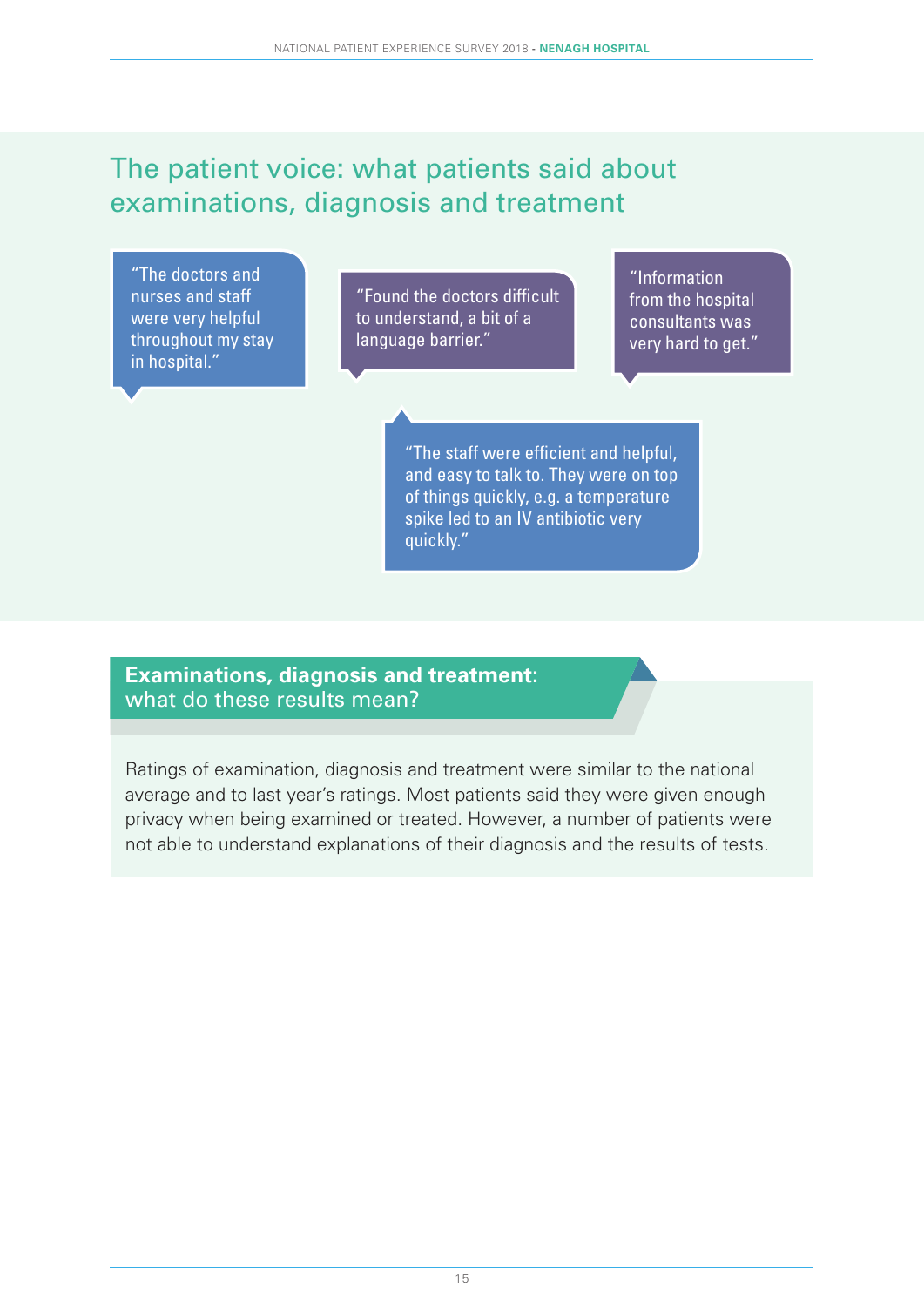### The patient voice: what patients said about examinations, diagnosis and treatment

"The doctors and nurses and staff were very helpful throughout my stay in hospital."

"Found the doctors difficult to understand, a bit of a language barrier."

"Information from the hospital consultants was very hard to get."

"The staff were efficient and helpful, and easy to talk to. They were on top of things quickly, e.g. a temperature spike led to an IV antibiotic very quickly."

#### **Examinations, diagnosis and treatment:** what do these results mean?

Ratings of examination, diagnosis and treatment were similar to the national average and to last year's ratings. Most patients said they were given enough privacy when being examined or treated. However, a number of patients were not able to understand explanations of their diagnosis and the results of tests.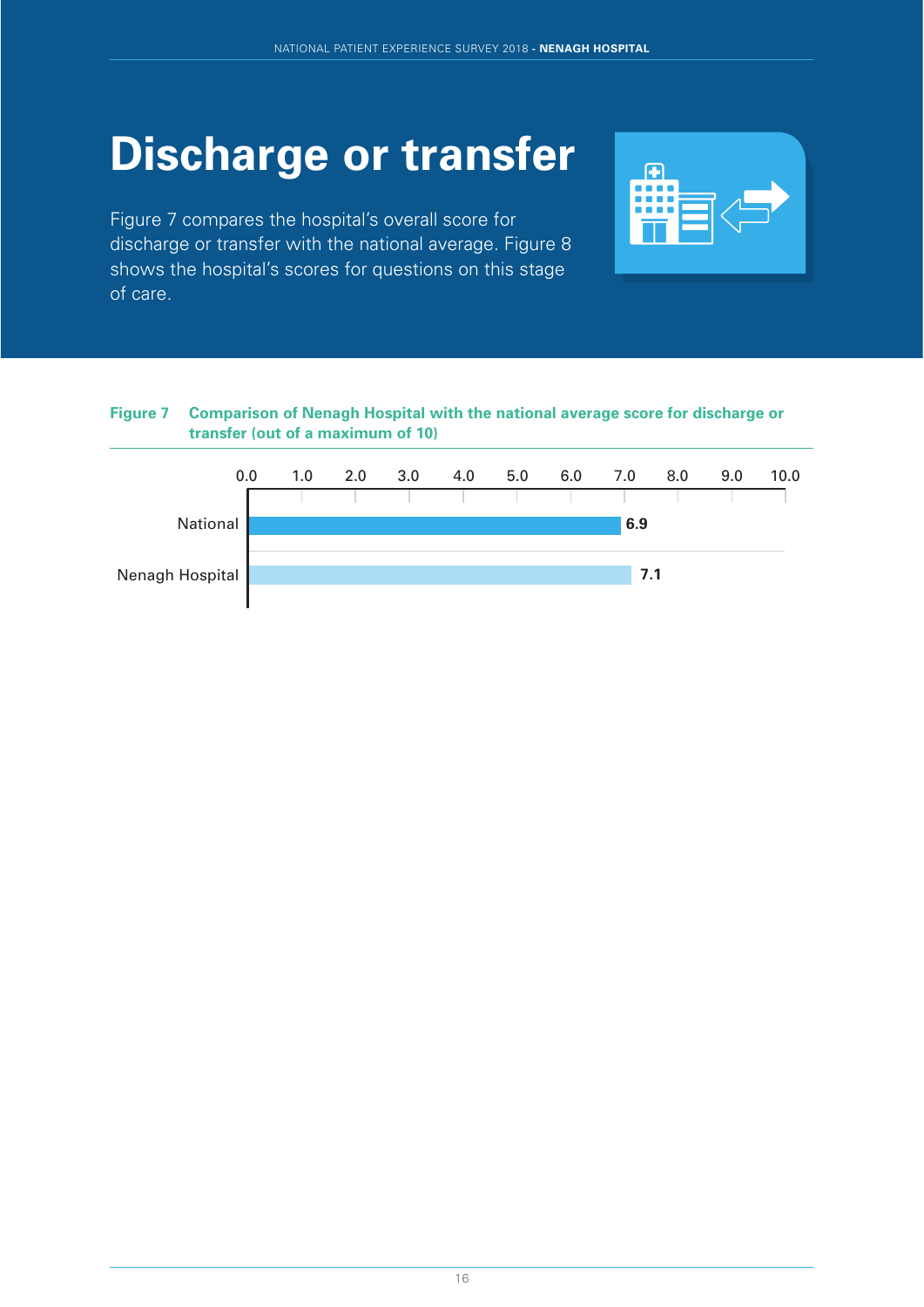# **Discharge or transfer**

Figure 7 compares the hospital's overall score for discharge or transfer with the national average. Figure 8 shows the hospital's scores for questions on this stage of care.



#### **Figure 7 Comparison of Nenagh Hospital with the national average score for discharge or transfer (out of a maximum of 10)**

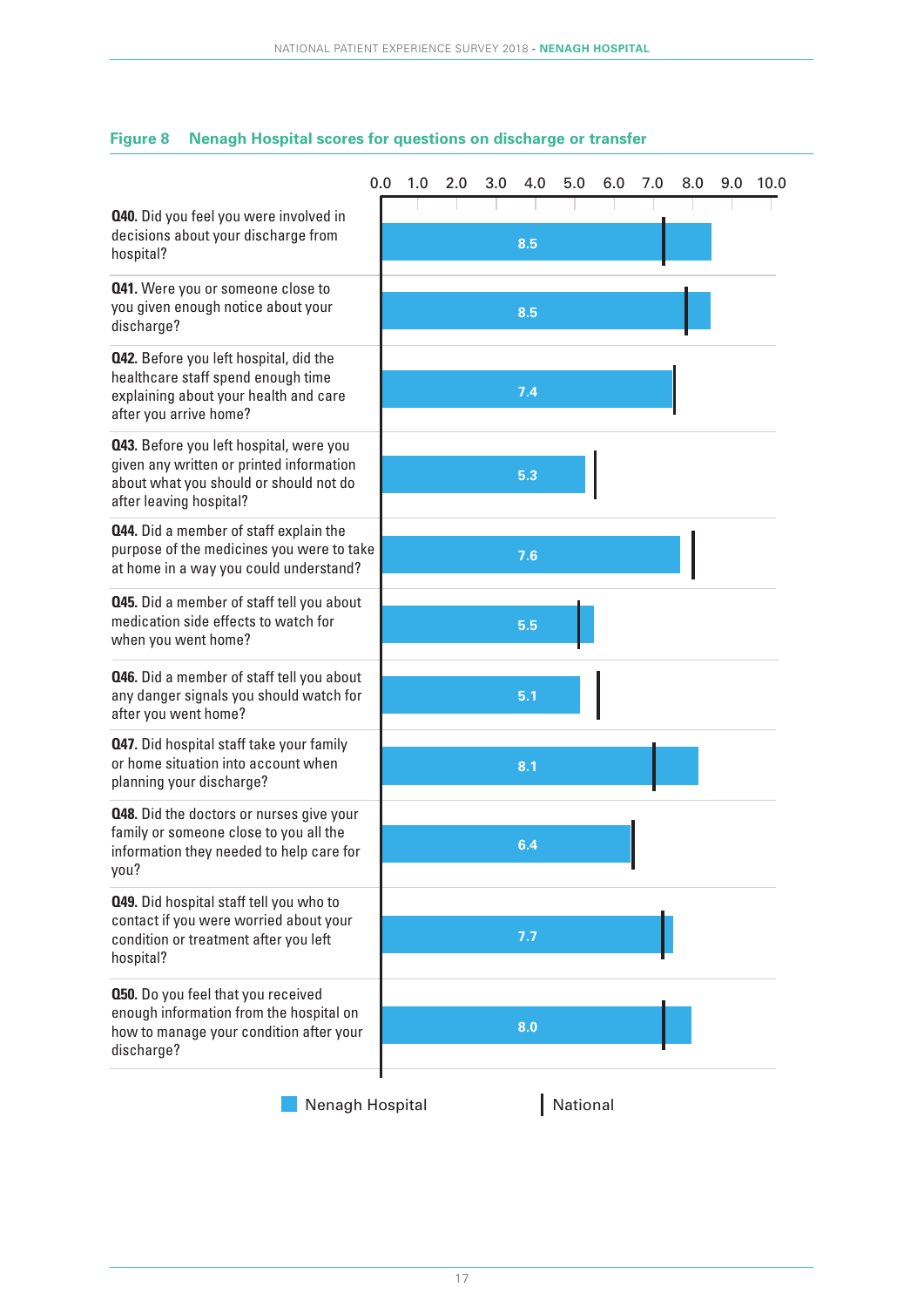|                                                                                                                                                          | 0.0 | 1.0 | 2.0 | 3.0 | 4.0 | 5.0      | 6.0 | 7.0 | 8.0 | 9.0 | 10.0 |
|----------------------------------------------------------------------------------------------------------------------------------------------------------|-----|-----|-----|-----|-----|----------|-----|-----|-----|-----|------|
| <b>Q40.</b> Did you feel you were involved in<br>decisions about your discharge from<br>hospital?                                                        |     |     |     |     | 8.5 |          |     |     |     |     |      |
| <b>041.</b> Were you or someone close to<br>you given enough notice about your<br>discharge?                                                             |     |     |     |     | 8.5 |          |     |     |     |     |      |
| <b>042.</b> Before you left hospital, did the<br>healthcare staff spend enough time<br>explaining about your health and care<br>after you arrive home?   |     |     |     |     | 7.4 |          |     |     |     |     |      |
| 043. Before you left hospital, were you<br>given any written or printed information<br>about what you should or should not do<br>after leaving hospital? |     |     |     |     | 5.3 |          |     |     |     |     |      |
| <b>Q44.</b> Did a member of staff explain the<br>purpose of the medicines you were to take<br>at home in a way you could understand?                     |     |     |     |     | 7.6 |          |     |     |     |     |      |
| <b>045.</b> Did a member of staff tell you about<br>medication side effects to watch for<br>when you went home?                                          |     |     |     |     | 5.5 |          |     |     |     |     |      |
| <b>Q46.</b> Did a member of staff tell you about<br>any danger signals you should watch for<br>after you went home?                                      |     |     |     |     | 5.1 |          |     |     |     |     |      |
| <b>Q47.</b> Did hospital staff take your family<br>or home situation into account when<br>planning your discharge?                                       |     |     |     |     | 8.1 |          |     |     |     |     |      |
| <b>Q48.</b> Did the doctors or nurses give your<br>family or someone close to you all the<br>information they needed to help care for<br>you?            |     |     |     |     | 6.4 |          |     |     |     |     |      |
| 049. Did hospital staff tell you who to<br>contact if you were worried about your<br>condition or treatment after you left<br>hospital?                  |     |     |     |     | 7.7 |          |     |     |     |     |      |
| <b>050.</b> Do you feel that you received<br>enough information from the hospital on<br>how to manage your condition after your<br>discharge?            |     |     |     |     | 8.0 |          |     |     |     |     |      |
| Nenagh Hospital                                                                                                                                          |     |     |     |     |     | National |     |     |     |     |      |

#### **Figure 8 Nenagh Hospital scores for questions on discharge or transfer**

17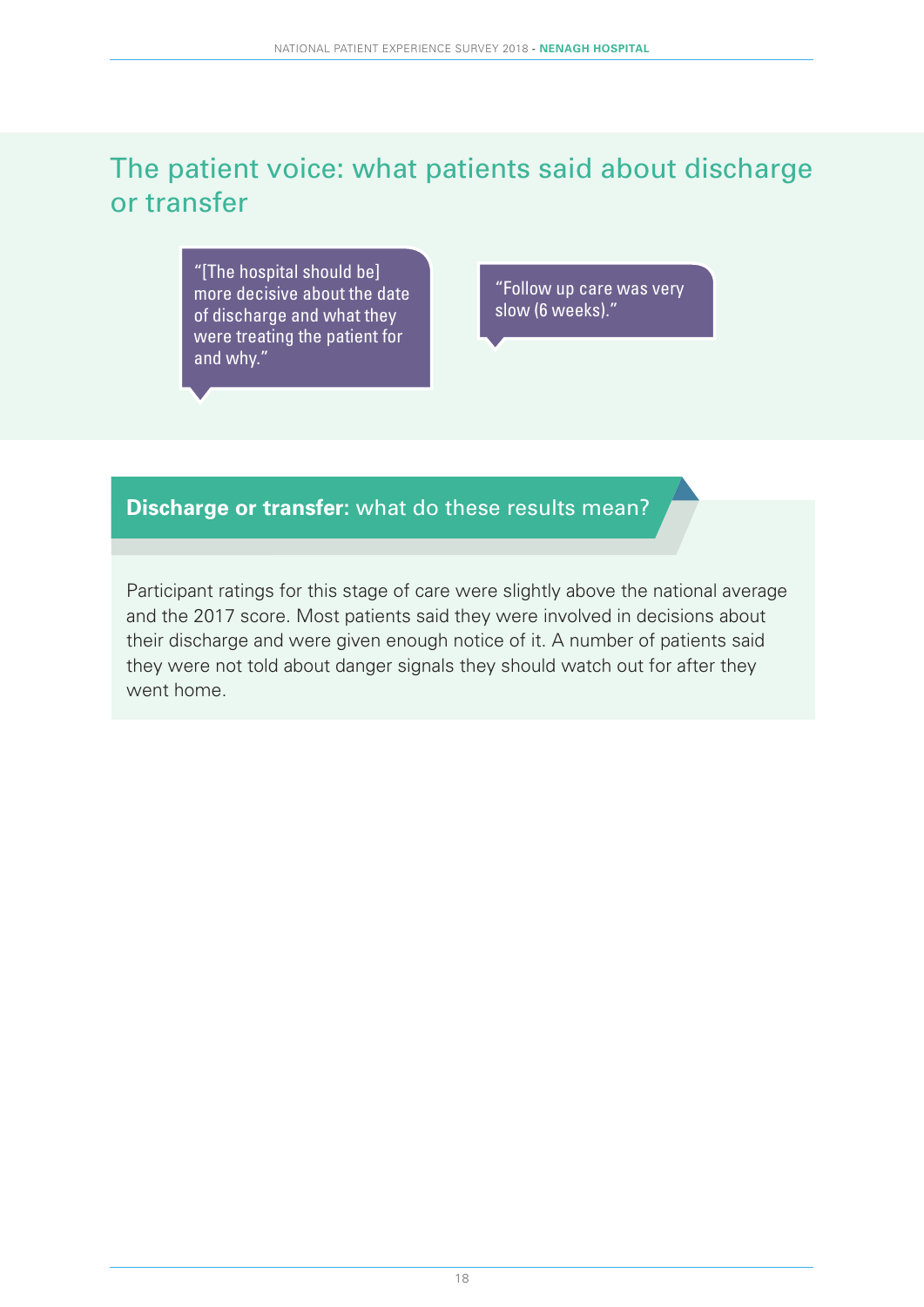### The patient voice: what patients said about discharge or transfer

"[The hospital should be] more decisive about the date of discharge and what they were treating the patient for and why."

"Follow up care was very slow (6 weeks)."

#### **Discharge or transfer:** what do these results mean?

Participant ratings for this stage of care were slightly above the national average and the 2017 score. Most patients said they were involved in decisions about their discharge and were given enough notice of it. A number of patients said they were not told about danger signals they should watch out for after they went home.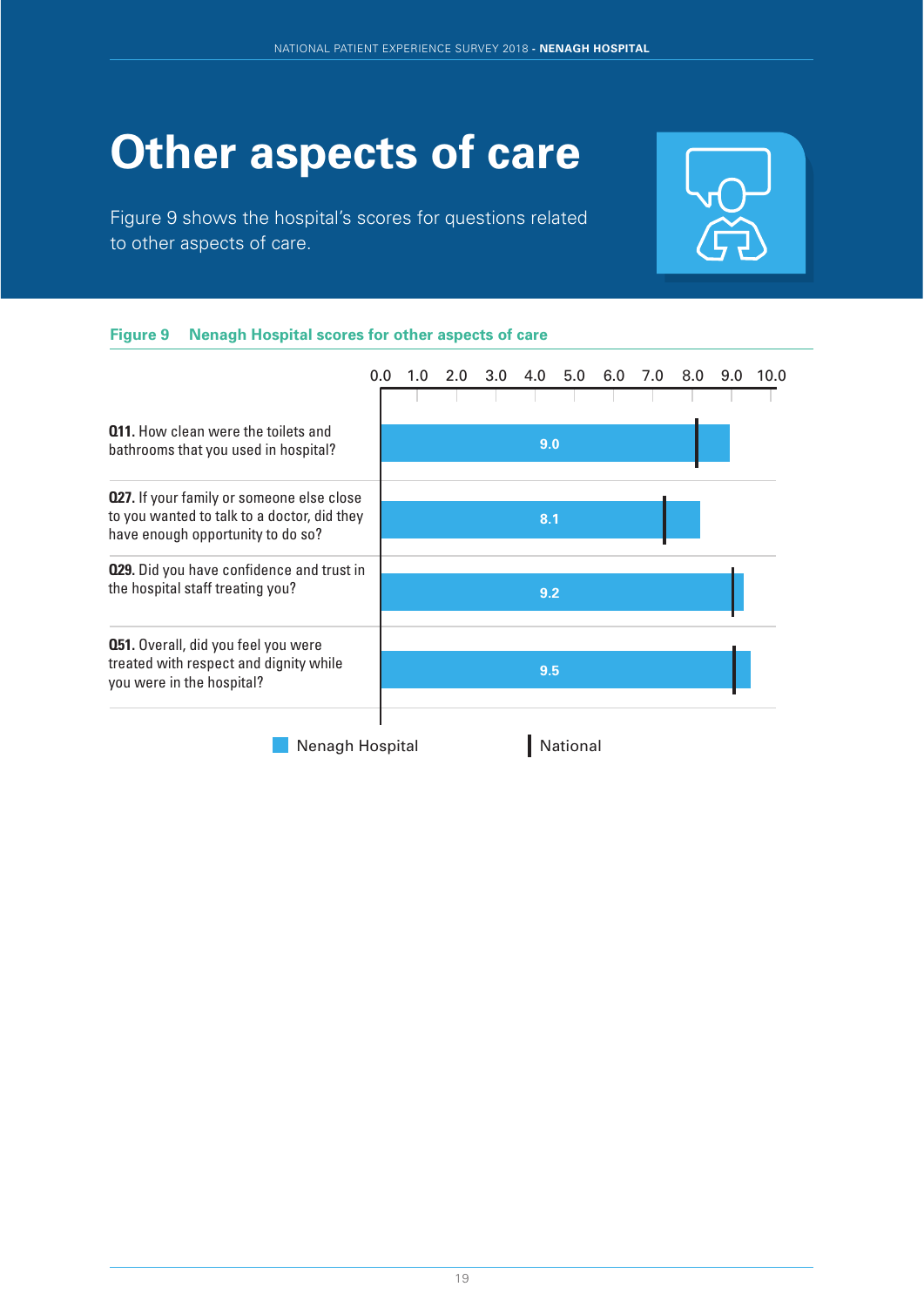# **Other aspects of care**

Figure 9 shows the hospital's scores for questions related to other aspects of care.



#### **Figure 9 Nenagh Hospital scores for other aspects of care**

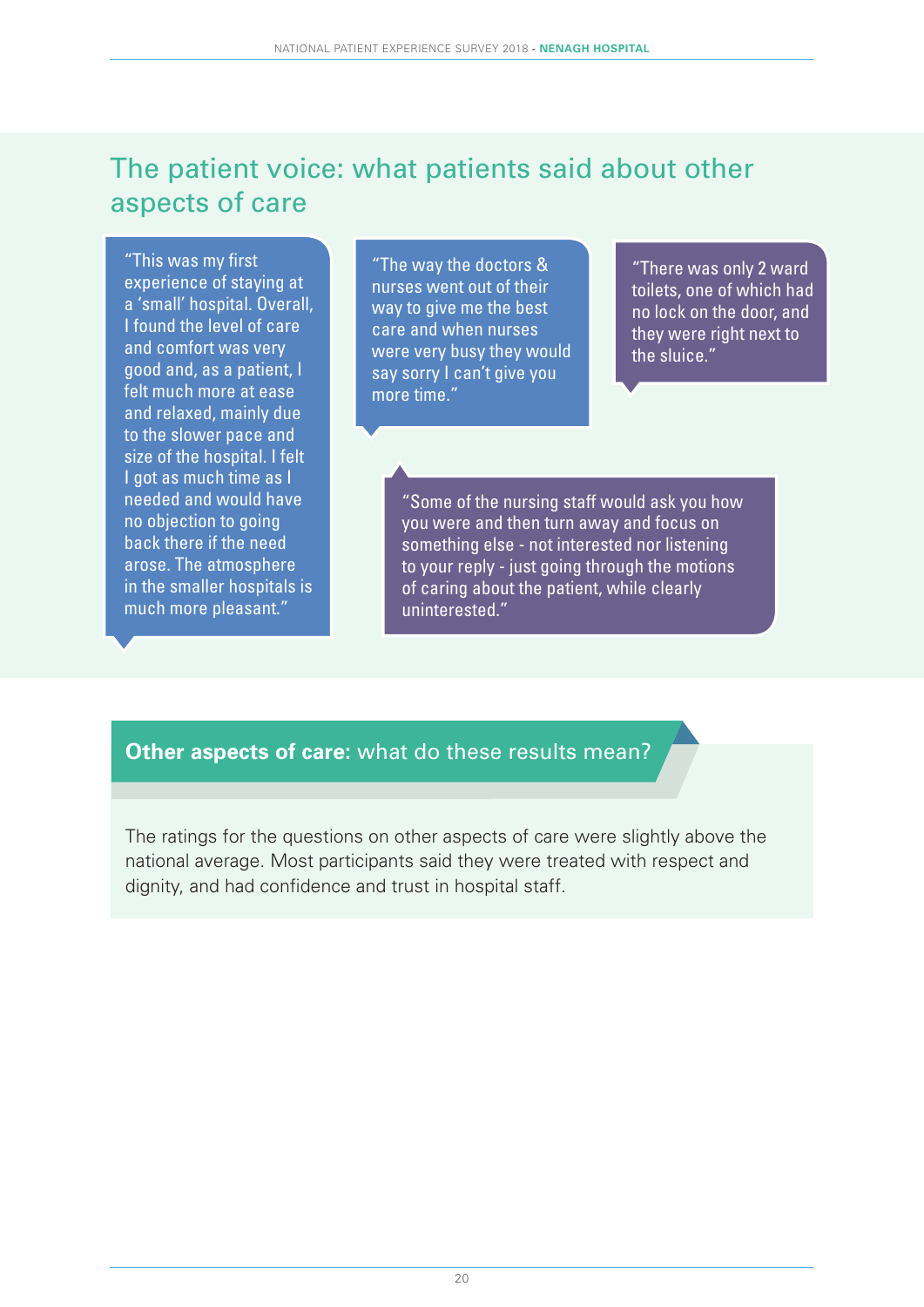### The patient voice: what patients said about other aspects of care

"This was my first experience of staying at a 'small' hospital. Overall, I found the level of care and comfort was very good and, as a patient, I felt much more at ease and relaxed, mainly due to the slower pace and size of the hospital. I felt I got as much time as I needed and would have no objection to going back there if the need arose. The atmosphere in the smaller hospitals is much more pleasant."

"The way the doctors & nurses went out of their way to give me the best care and when nurses were very busy they would say sorry I can't give you more time."

"There was only 2 ward toilets, one of which had no lock on the door, and they were right next to the sluice."

"Some of the nursing staff would ask you how you were and then turn away and focus on something else - not interested nor listening to your reply - just going through the motions of caring about the patient, while clearly uninterested."

#### **Other aspects of care:** what do these results mean?

The ratings for the questions on other aspects of care were slightly above the national average. Most participants said they were treated with respect and dignity, and had confidence and trust in hospital staff.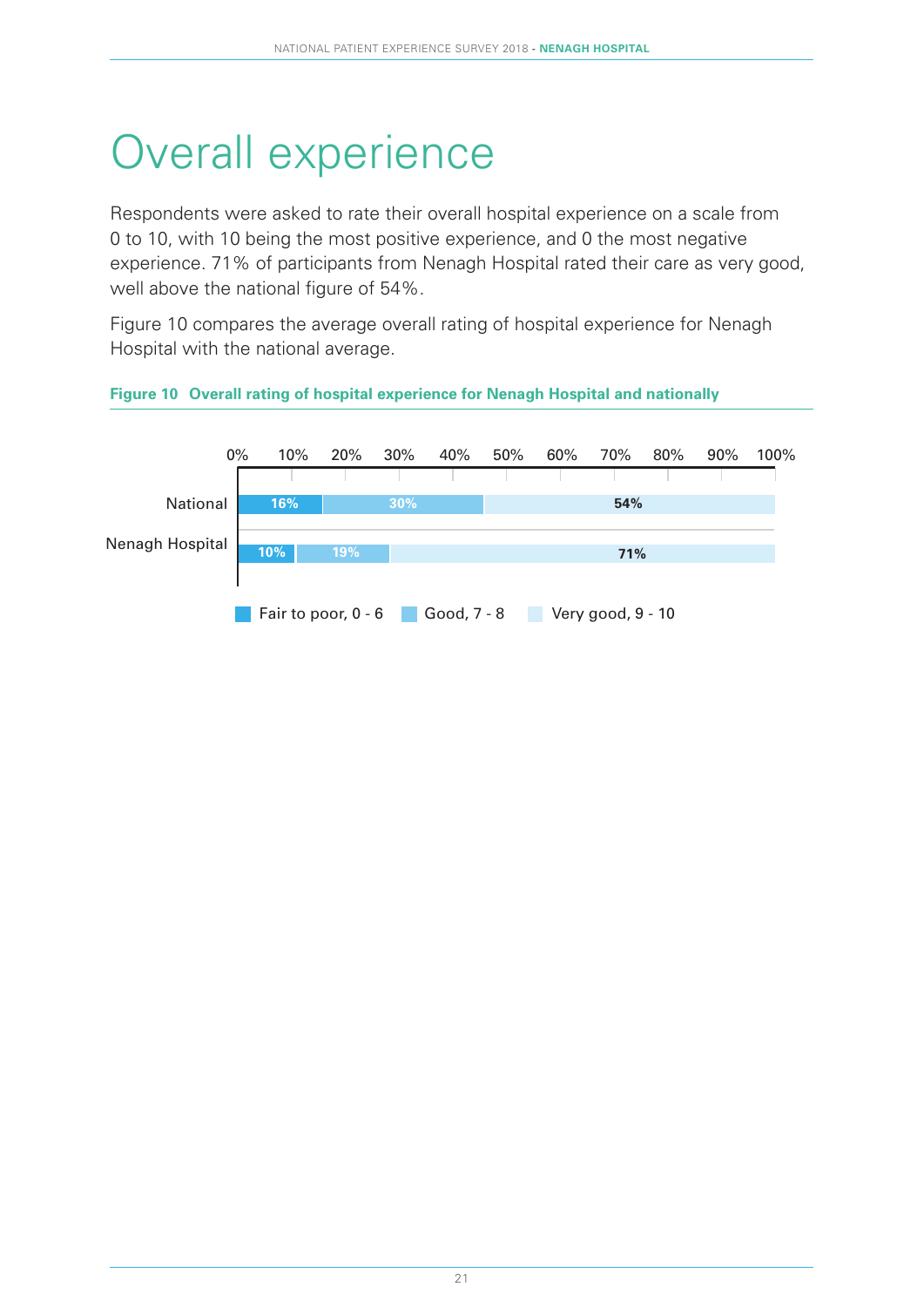# Overall experience

Respondents were asked to rate their overall hospital experience on a scale from 0 to 10, with 10 being the most positive experience, and 0 the most negative experience. 71% of participants from Nenagh Hospital rated their care as very good, well above the national figure of 54%.

Figure 10 compares the average overall rating of hospital experience for Nenagh Hospital with the national average.

#### **Figure 10 Overall rating of hospital experience for Nenagh Hospital and nationally**

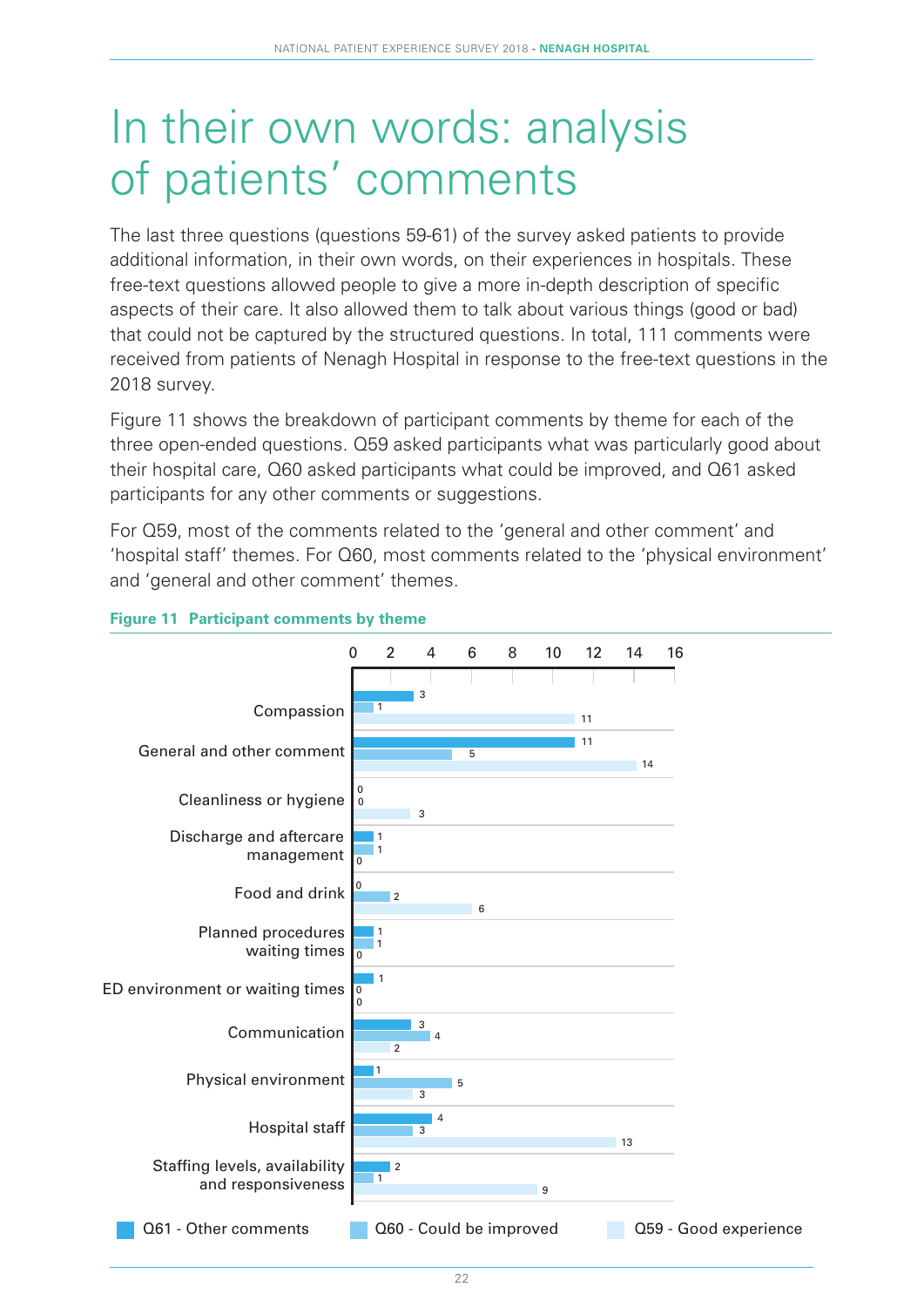### In their own words: analysis of patients' comments

The last three questions (questions 59-61) of the survey asked patients to provide additional information, in their own words, on their experiences in hospitals. These free-text questions allowed people to give a more in-depth description of specific aspects of their care. It also allowed them to talk about various things (good or bad) that could not be captured by the structured questions. In total, 111 comments were received from patients of Nenagh Hospital in response to the free-text questions in the 2018 survey.

Figure 11 shows the breakdown of participant comments by theme for each of the three open-ended questions. Q59 asked participants what was particularly good about their hospital care, Q60 asked participants what could be improved, and Q61 asked participants for any other comments or suggestions.

For Q59, most of the comments related to the 'general and other comment' and 'hospital staff' themes. For Q60, most comments related to the 'physical environment' and 'general and other comment' themes.



#### **Figure 11 Participant comments by theme**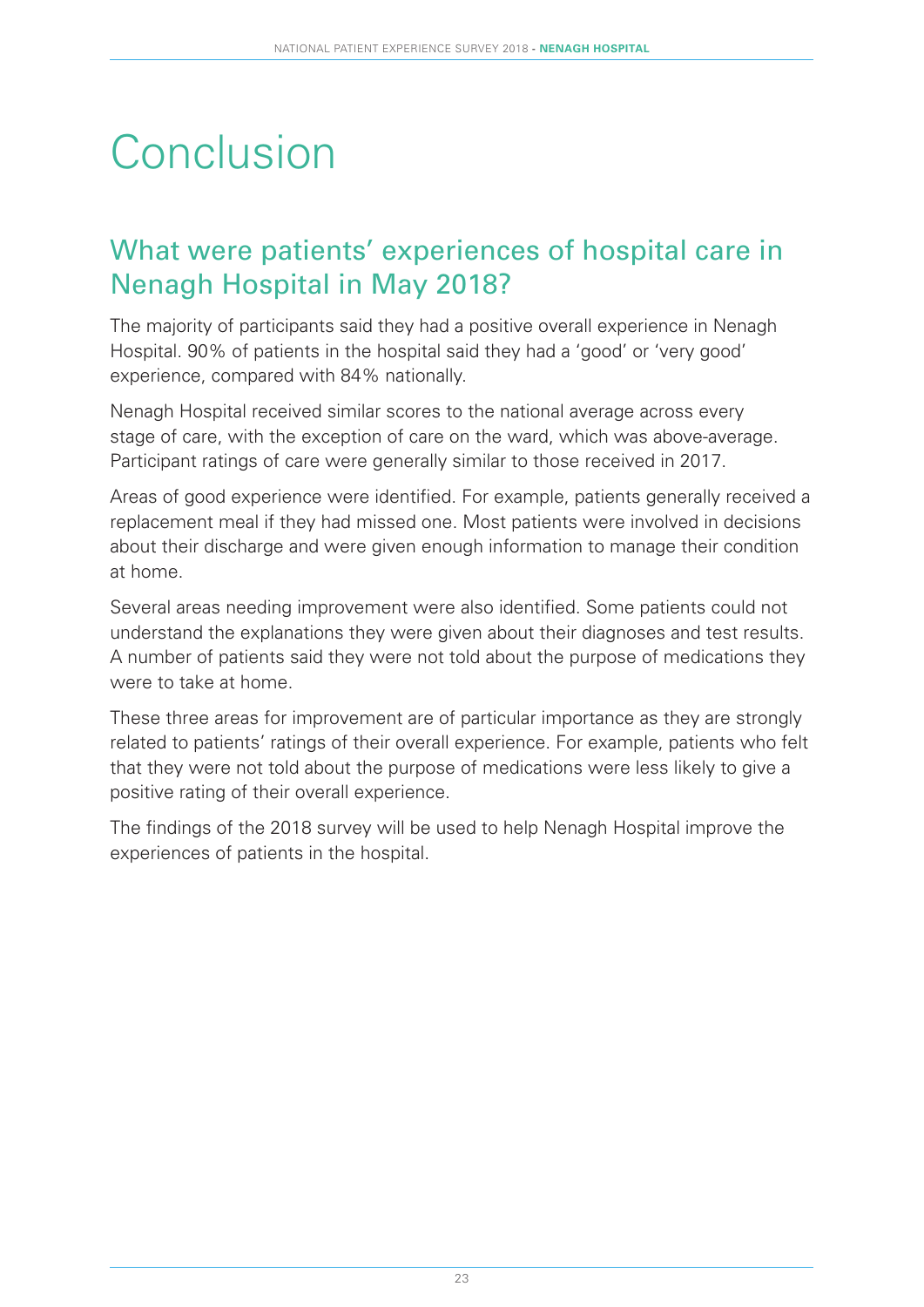# **Conclusion**

### What were patients' experiences of hospital care in Nenagh Hospital in May 2018?

The majority of participants said they had a positive overall experience in Nenagh Hospital. 90% of patients in the hospital said they had a 'good' or 'very good' experience, compared with 84% nationally.

Nenagh Hospital received similar scores to the national average across every stage of care, with the exception of care on the ward, which was above-average. Participant ratings of care were generally similar to those received in 2017.

Areas of good experience were identified. For example, patients generally received a replacement meal if they had missed one. Most patients were involved in decisions about their discharge and were given enough information to manage their condition at home.

Several areas needing improvement were also identified. Some patients could not understand the explanations they were given about their diagnoses and test results. A number of patients said they were not told about the purpose of medications they were to take at home.

These three areas for improvement are of particular importance as they are strongly related to patients' ratings of their overall experience. For example, patients who felt that they were not told about the purpose of medications were less likely to give a positive rating of their overall experience.

The findings of the 2018 survey will be used to help Nenagh Hospital improve the experiences of patients in the hospital.